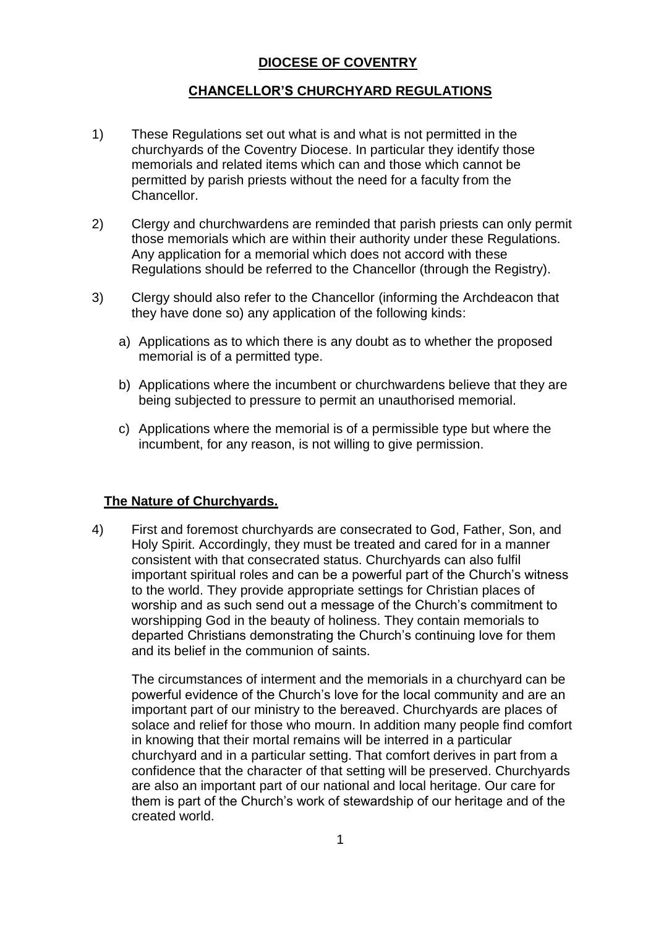# **DIOCESE OF COVENTRY**

# **CHANCELLOR'S CHURCHYARD REGULATIONS**

- 1) These Regulations set out what is and what is not permitted in the churchyards of the Coventry Diocese. In particular they identify those memorials and related items which can and those which cannot be permitted by parish priests without the need for a faculty from the Chancellor.
- 2) Clergy and churchwardens are reminded that parish priests can only permit those memorials which are within their authority under these Regulations. Any application for a memorial which does not accord with these Regulations should be referred to the Chancellor (through the Registry).
- 3) Clergy should also refer to the Chancellor (informing the Archdeacon that they have done so) any application of the following kinds:
	- a) Applications as to which there is any doubt as to whether the proposed memorial is of a permitted type.
	- b) Applications where the incumbent or churchwardens believe that they are being subjected to pressure to permit an unauthorised memorial.
	- c) Applications where the memorial is of a permissible type but where the incumbent, for any reason, is not willing to give permission.

### **The Nature of Churchyards.**

4) First and foremost churchyards are consecrated to God, Father, Son, and Holy Spirit. Accordingly, they must be treated and cared for in a manner consistent with that consecrated status. Churchyards can also fulfil important spiritual roles and can be a powerful part of the Church's witness to the world. They provide appropriate settings for Christian places of worship and as such send out a message of the Church's commitment to worshipping God in the beauty of holiness. They contain memorials to departed Christians demonstrating the Church's continuing love for them and its belief in the communion of saints.

The circumstances of interment and the memorials in a churchyard can be powerful evidence of the Church's love for the local community and are an important part of our ministry to the bereaved. Churchyards are places of solace and relief for those who mourn. In addition many people find comfort in knowing that their mortal remains will be interred in a particular churchyard and in a particular setting. That comfort derives in part from a confidence that the character of that setting will be preserved. Churchyards are also an important part of our national and local heritage. Our care for them is part of the Church's work of stewardship of our heritage and of the created world.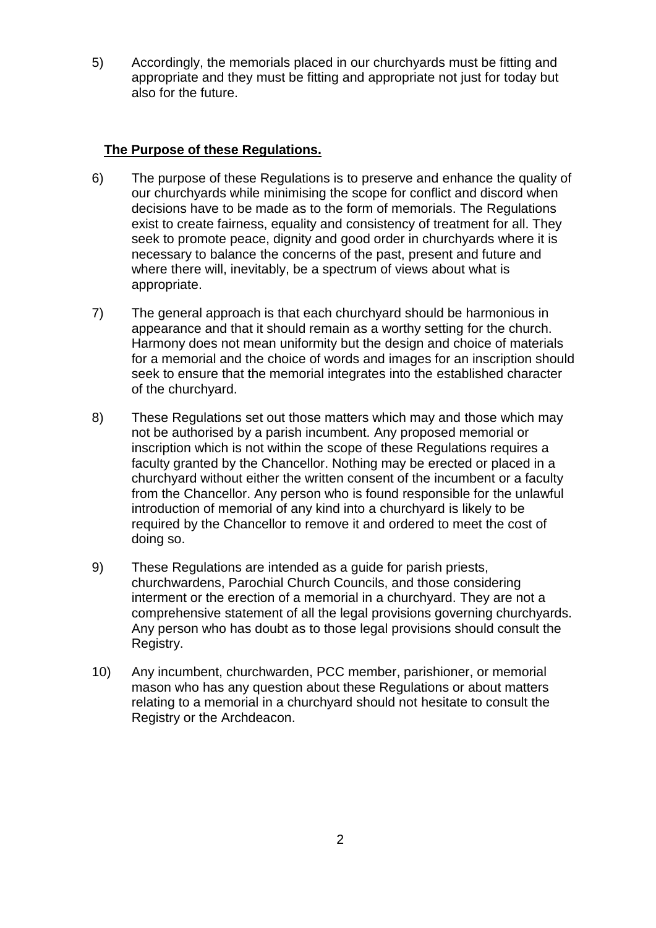5) Accordingly, the memorials placed in our churchyards must be fitting and appropriate and they must be fitting and appropriate not just for today but also for the future.

# **The Purpose of these Regulations.**

- 6) The purpose of these Regulations is to preserve and enhance the quality of our churchyards while minimising the scope for conflict and discord when decisions have to be made as to the form of memorials. The Regulations exist to create fairness, equality and consistency of treatment for all. They seek to promote peace, dignity and good order in churchyards where it is necessary to balance the concerns of the past, present and future and where there will, inevitably, be a spectrum of views about what is appropriate.
- 7) The general approach is that each churchyard should be harmonious in appearance and that it should remain as a worthy setting for the church. Harmony does not mean uniformity but the design and choice of materials for a memorial and the choice of words and images for an inscription should seek to ensure that the memorial integrates into the established character of the churchyard.
- 8) These Regulations set out those matters which may and those which may not be authorised by a parish incumbent. Any proposed memorial or inscription which is not within the scope of these Regulations requires a faculty granted by the Chancellor. Nothing may be erected or placed in a churchyard without either the written consent of the incumbent or a faculty from the Chancellor. Any person who is found responsible for the unlawful introduction of memorial of any kind into a churchyard is likely to be required by the Chancellor to remove it and ordered to meet the cost of doing so.
- 9) These Regulations are intended as a guide for parish priests, churchwardens, Parochial Church Councils, and those considering interment or the erection of a memorial in a churchyard. They are not a comprehensive statement of all the legal provisions governing churchyards. Any person who has doubt as to those legal provisions should consult the Registry.
- 10) Any incumbent, churchwarden, PCC member, parishioner, or memorial mason who has any question about these Regulations or about matters relating to a memorial in a churchyard should not hesitate to consult the Registry or the Archdeacon.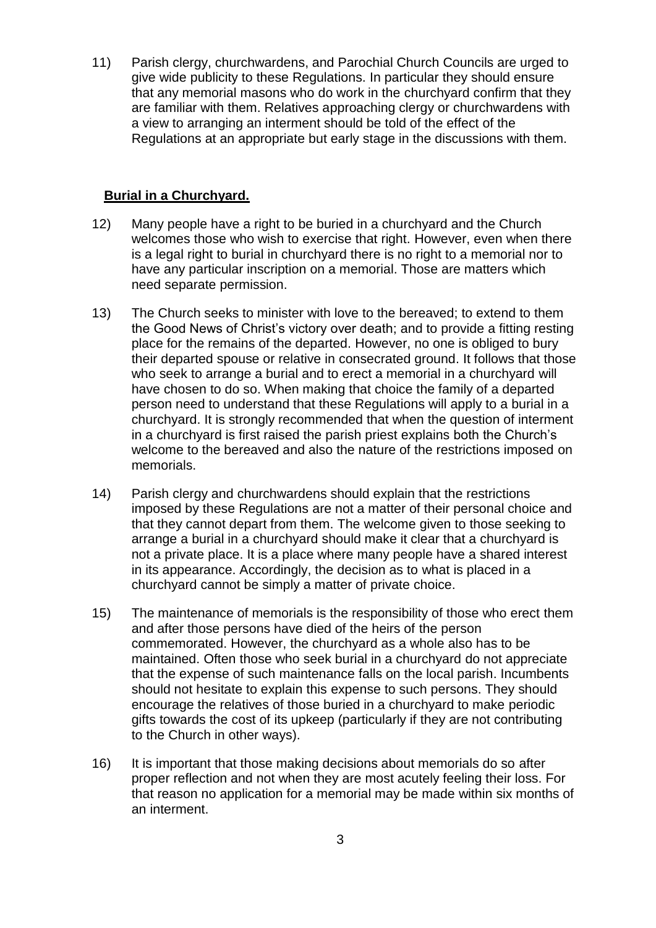11) Parish clergy, churchwardens, and Parochial Church Councils are urged to give wide publicity to these Regulations. In particular they should ensure that any memorial masons who do work in the churchyard confirm that they are familiar with them. Relatives approaching clergy or churchwardens with a view to arranging an interment should be told of the effect of the Regulations at an appropriate but early stage in the discussions with them.

### **Burial in a Churchyard.**

- 12) Many people have a right to be buried in a churchyard and the Church welcomes those who wish to exercise that right. However, even when there is a legal right to burial in churchyard there is no right to a memorial nor to have any particular inscription on a memorial. Those are matters which need separate permission.
- 13) The Church seeks to minister with love to the bereaved; to extend to them the Good News of Christ's victory over death; and to provide a fitting resting place for the remains of the departed. However, no one is obliged to bury their departed spouse or relative in consecrated ground. It follows that those who seek to arrange a burial and to erect a memorial in a churchyard will have chosen to do so. When making that choice the family of a departed person need to understand that these Regulations will apply to a burial in a churchyard. It is strongly recommended that when the question of interment in a churchyard is first raised the parish priest explains both the Church's welcome to the bereaved and also the nature of the restrictions imposed on memorials.
- 14) Parish clergy and churchwardens should explain that the restrictions imposed by these Regulations are not a matter of their personal choice and that they cannot depart from them. The welcome given to those seeking to arrange a burial in a churchyard should make it clear that a churchyard is not a private place. It is a place where many people have a shared interest in its appearance. Accordingly, the decision as to what is placed in a churchyard cannot be simply a matter of private choice.
- 15) The maintenance of memorials is the responsibility of those who erect them and after those persons have died of the heirs of the person commemorated. However, the churchyard as a whole also has to be maintained. Often those who seek burial in a churchyard do not appreciate that the expense of such maintenance falls on the local parish. Incumbents should not hesitate to explain this expense to such persons. They should encourage the relatives of those buried in a churchyard to make periodic gifts towards the cost of its upkeep (particularly if they are not contributing to the Church in other ways).
- 16) It is important that those making decisions about memorials do so after proper reflection and not when they are most acutely feeling their loss. For that reason no application for a memorial may be made within six months of an interment.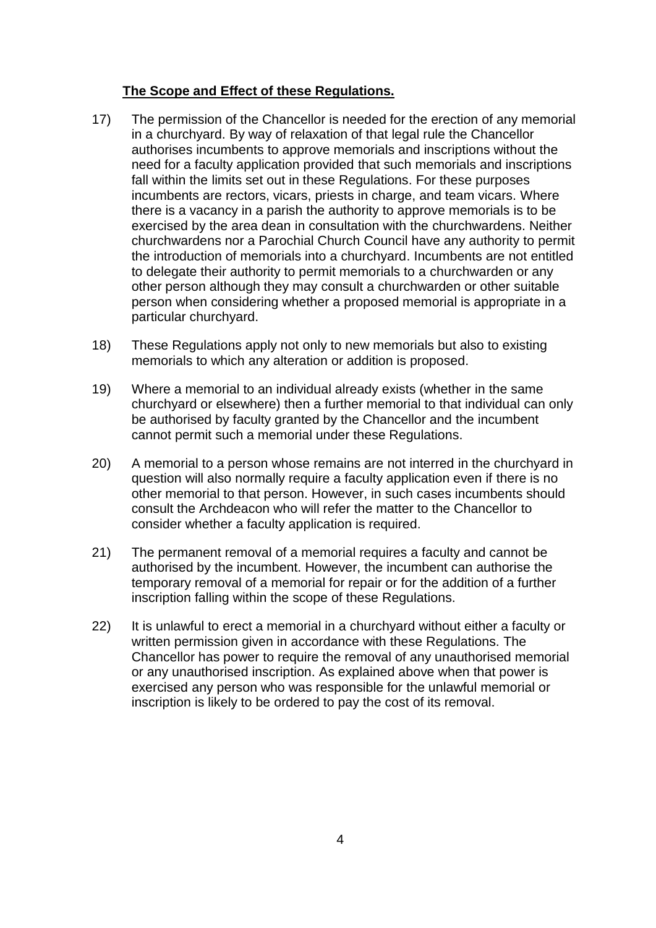# **The Scope and Effect of these Regulations.**

- 17) The permission of the Chancellor is needed for the erection of any memorial in a churchyard. By way of relaxation of that legal rule the Chancellor authorises incumbents to approve memorials and inscriptions without the need for a faculty application provided that such memorials and inscriptions fall within the limits set out in these Regulations. For these purposes incumbents are rectors, vicars, priests in charge, and team vicars. Where there is a vacancy in a parish the authority to approve memorials is to be exercised by the area dean in consultation with the churchwardens. Neither churchwardens nor a Parochial Church Council have any authority to permit the introduction of memorials into a churchyard. Incumbents are not entitled to delegate their authority to permit memorials to a churchwarden or any other person although they may consult a churchwarden or other suitable person when considering whether a proposed memorial is appropriate in a particular churchyard.
- 18) These Regulations apply not only to new memorials but also to existing memorials to which any alteration or addition is proposed.
- 19) Where a memorial to an individual already exists (whether in the same churchyard or elsewhere) then a further memorial to that individual can only be authorised by faculty granted by the Chancellor and the incumbent cannot permit such a memorial under these Regulations.
- 20) A memorial to a person whose remains are not interred in the churchyard in question will also normally require a faculty application even if there is no other memorial to that person. However, in such cases incumbents should consult the Archdeacon who will refer the matter to the Chancellor to consider whether a faculty application is required.
- 21) The permanent removal of a memorial requires a faculty and cannot be authorised by the incumbent. However, the incumbent can authorise the temporary removal of a memorial for repair or for the addition of a further inscription falling within the scope of these Regulations.
- 22) It is unlawful to erect a memorial in a churchyard without either a faculty or written permission given in accordance with these Regulations. The Chancellor has power to require the removal of any unauthorised memorial or any unauthorised inscription. As explained above when that power is exercised any person who was responsible for the unlawful memorial or inscription is likely to be ordered to pay the cost of its removal.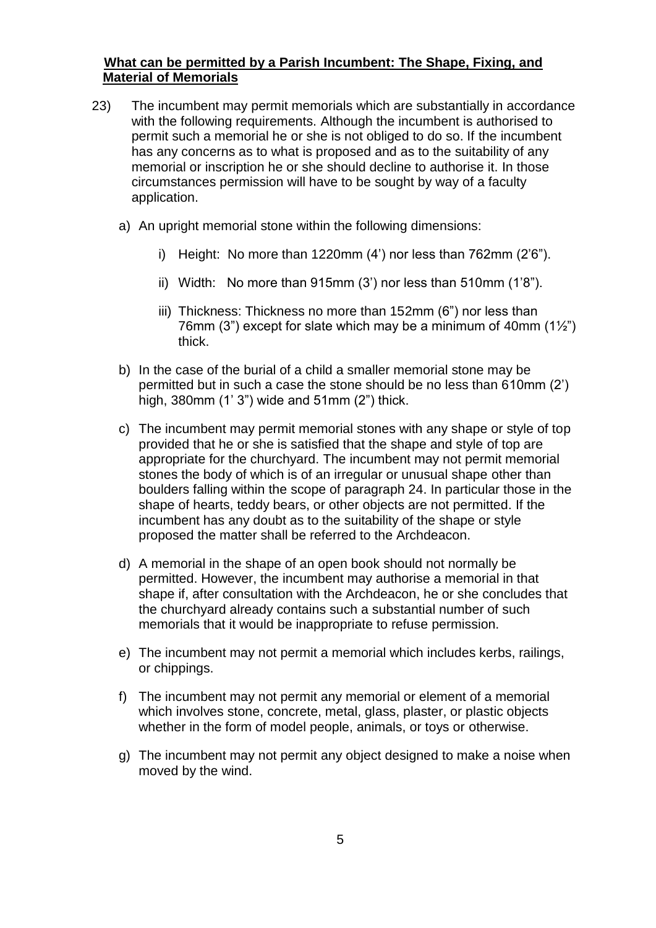### **What can be permitted by a Parish Incumbent: The Shape, Fixing, and Material of Memorials**

- 23) The incumbent may permit memorials which are substantially in accordance with the following requirements. Although the incumbent is authorised to permit such a memorial he or she is not obliged to do so. If the incumbent has any concerns as to what is proposed and as to the suitability of any memorial or inscription he or she should decline to authorise it. In those circumstances permission will have to be sought by way of a faculty application.
	- a) An upright memorial stone within the following dimensions:
		- i) Height: No more than 1220mm (4') nor less than 762mm (2'6").
		- ii) Width: No more than 915mm (3') nor less than 510mm (1'8").
		- iii) Thickness: Thickness no more than 152mm (6") nor less than 76mm (3") except for slate which may be a minimum of 40mm  $(1\frac{1}{2})$ thick.
	- b) In the case of the burial of a child a smaller memorial stone may be permitted but in such a case the stone should be no less than 610mm (2') high, 380mm (1' 3") wide and 51mm (2") thick.
	- c) The incumbent may permit memorial stones with any shape or style of top provided that he or she is satisfied that the shape and style of top are appropriate for the churchyard. The incumbent may not permit memorial stones the body of which is of an irregular or unusual shape other than boulders falling within the scope of paragraph 24. In particular those in the shape of hearts, teddy bears, or other objects are not permitted. If the incumbent has any doubt as to the suitability of the shape or style proposed the matter shall be referred to the Archdeacon.
	- d) A memorial in the shape of an open book should not normally be permitted. However, the incumbent may authorise a memorial in that shape if, after consultation with the Archdeacon, he or she concludes that the churchyard already contains such a substantial number of such memorials that it would be inappropriate to refuse permission.
	- e) The incumbent may not permit a memorial which includes kerbs, railings, or chippings.
	- f) The incumbent may not permit any memorial or element of a memorial which involves stone, concrete, metal, glass, plaster, or plastic objects whether in the form of model people, animals, or toys or otherwise.
	- g) The incumbent may not permit any object designed to make a noise when moved by the wind.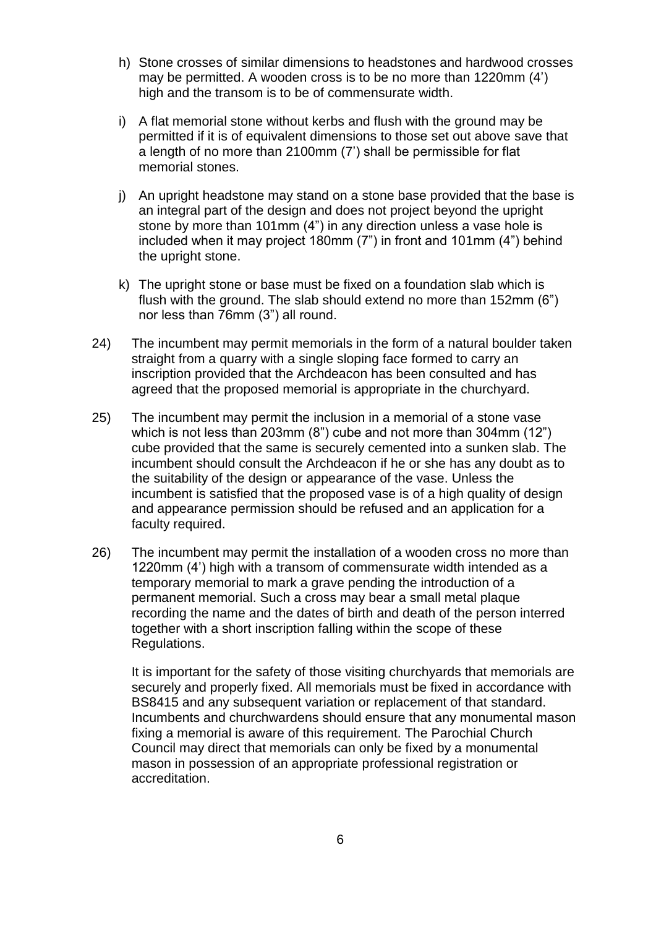- h) Stone crosses of similar dimensions to headstones and hardwood crosses may be permitted. A wooden cross is to be no more than 1220mm (4') high and the transom is to be of commensurate width.
- i) A flat memorial stone without kerbs and flush with the ground may be permitted if it is of equivalent dimensions to those set out above save that a length of no more than 2100mm (7') shall be permissible for flat memorial stones.
- j) An upright headstone may stand on a stone base provided that the base is an integral part of the design and does not project beyond the upright stone by more than 101mm (4") in any direction unless a vase hole is included when it may project 180mm (7") in front and 101mm (4") behind the upright stone.
- k) The upright stone or base must be fixed on a foundation slab which is flush with the ground. The slab should extend no more than 152mm (6") nor less than 76mm (3") all round.
- 24) The incumbent may permit memorials in the form of a natural boulder taken straight from a quarry with a single sloping face formed to carry an inscription provided that the Archdeacon has been consulted and has agreed that the proposed memorial is appropriate in the churchyard.
- 25) The incumbent may permit the inclusion in a memorial of a stone vase which is not less than 203mm (8") cube and not more than 304mm (12") cube provided that the same is securely cemented into a sunken slab. The incumbent should consult the Archdeacon if he or she has any doubt as to the suitability of the design or appearance of the vase. Unless the incumbent is satisfied that the proposed vase is of a high quality of design and appearance permission should be refused and an application for a faculty required.
- 26) The incumbent may permit the installation of a wooden cross no more than 1220mm (4') high with a transom of commensurate width intended as a temporary memorial to mark a grave pending the introduction of a permanent memorial. Such a cross may bear a small metal plaque recording the name and the dates of birth and death of the person interred together with a short inscription falling within the scope of these Regulations.

It is important for the safety of those visiting churchyards that memorials are securely and properly fixed. All memorials must be fixed in accordance with BS8415 and any subsequent variation or replacement of that standard. Incumbents and churchwardens should ensure that any monumental mason fixing a memorial is aware of this requirement. The Parochial Church Council may direct that memorials can only be fixed by a monumental mason in possession of an appropriate professional registration or accreditation.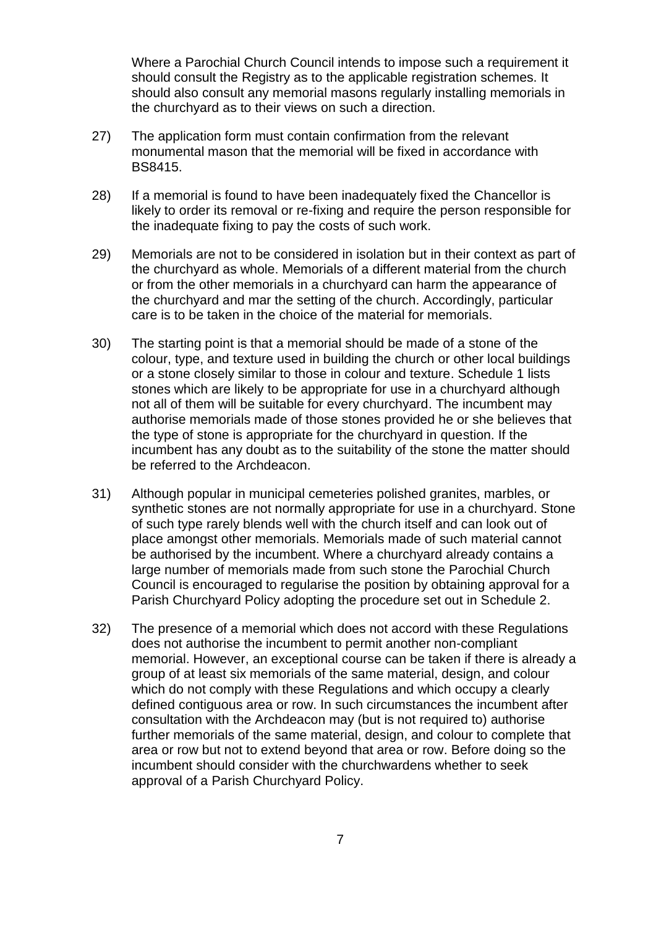Where a Parochial Church Council intends to impose such a requirement it should consult the Registry as to the applicable registration schemes. It should also consult any memorial masons regularly installing memorials in the churchyard as to their views on such a direction.

- 27) The application form must contain confirmation from the relevant monumental mason that the memorial will be fixed in accordance with BS8415.
- 28) If a memorial is found to have been inadequately fixed the Chancellor is likely to order its removal or re-fixing and require the person responsible for the inadequate fixing to pay the costs of such work.
- 29) Memorials are not to be considered in isolation but in their context as part of the churchyard as whole. Memorials of a different material from the church or from the other memorials in a churchyard can harm the appearance of the churchyard and mar the setting of the church. Accordingly, particular care is to be taken in the choice of the material for memorials.
- 30) The starting point is that a memorial should be made of a stone of the colour, type, and texture used in building the church or other local buildings or a stone closely similar to those in colour and texture. Schedule 1 lists stones which are likely to be appropriate for use in a churchyard although not all of them will be suitable for every churchyard. The incumbent may authorise memorials made of those stones provided he or she believes that the type of stone is appropriate for the churchyard in question. If the incumbent has any doubt as to the suitability of the stone the matter should be referred to the Archdeacon.
- 31) Although popular in municipal cemeteries polished granites, marbles, or synthetic stones are not normally appropriate for use in a churchyard. Stone of such type rarely blends well with the church itself and can look out of place amongst other memorials. Memorials made of such material cannot be authorised by the incumbent. Where a churchyard already contains a large number of memorials made from such stone the Parochial Church Council is encouraged to regularise the position by obtaining approval for a Parish Churchyard Policy adopting the procedure set out in Schedule 2.
- 32) The presence of a memorial which does not accord with these Regulations does not authorise the incumbent to permit another non-compliant memorial. However, an exceptional course can be taken if there is already a group of at least six memorials of the same material, design, and colour which do not comply with these Regulations and which occupy a clearly defined contiguous area or row. In such circumstances the incumbent after consultation with the Archdeacon may (but is not required to) authorise further memorials of the same material, design, and colour to complete that area or row but not to extend beyond that area or row. Before doing so the incumbent should consider with the churchwardens whether to seek approval of a Parish Churchyard Policy.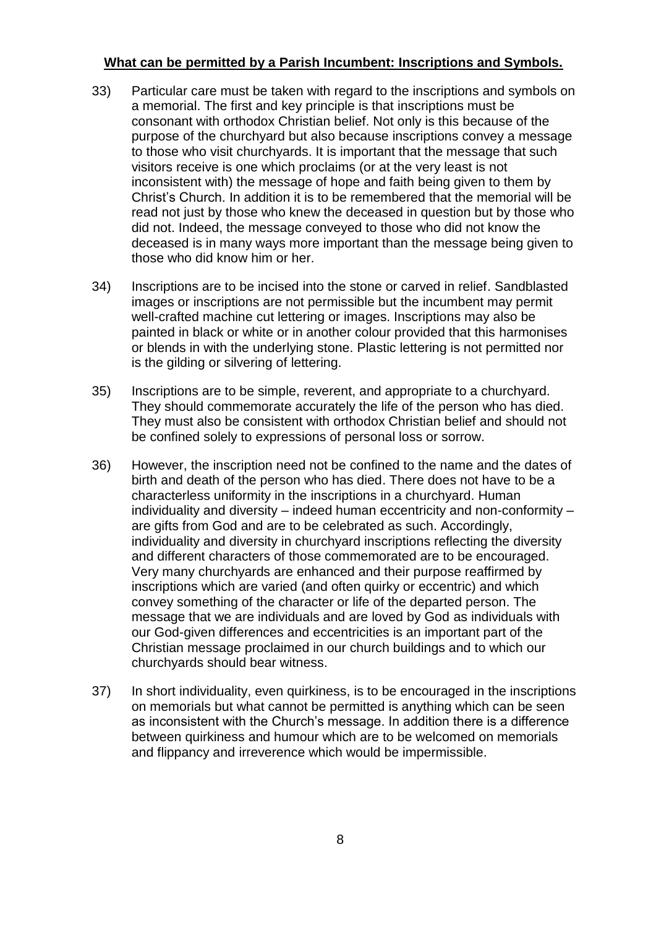## **What can be permitted by a Parish Incumbent: Inscriptions and Symbols.**

- 33) Particular care must be taken with regard to the inscriptions and symbols on a memorial. The first and key principle is that inscriptions must be consonant with orthodox Christian belief. Not only is this because of the purpose of the churchyard but also because inscriptions convey a message to those who visit churchyards. It is important that the message that such visitors receive is one which proclaims (or at the very least is not inconsistent with) the message of hope and faith being given to them by Christ's Church. In addition it is to be remembered that the memorial will be read not just by those who knew the deceased in question but by those who did not. Indeed, the message conveyed to those who did not know the deceased is in many ways more important than the message being given to those who did know him or her.
- 34) Inscriptions are to be incised into the stone or carved in relief. Sandblasted images or inscriptions are not permissible but the incumbent may permit well-crafted machine cut lettering or images. Inscriptions may also be painted in black or white or in another colour provided that this harmonises or blends in with the underlying stone. Plastic lettering is not permitted nor is the gilding or silvering of lettering.
- 35) Inscriptions are to be simple, reverent, and appropriate to a churchyard. They should commemorate accurately the life of the person who has died. They must also be consistent with orthodox Christian belief and should not be confined solely to expressions of personal loss or sorrow.
- 36) However, the inscription need not be confined to the name and the dates of birth and death of the person who has died. There does not have to be a characterless uniformity in the inscriptions in a churchyard. Human individuality and diversity – indeed human eccentricity and non-conformity – are gifts from God and are to be celebrated as such. Accordingly, individuality and diversity in churchyard inscriptions reflecting the diversity and different characters of those commemorated are to be encouraged. Very many churchyards are enhanced and their purpose reaffirmed by inscriptions which are varied (and often quirky or eccentric) and which convey something of the character or life of the departed person. The message that we are individuals and are loved by God as individuals with our God-given differences and eccentricities is an important part of the Christian message proclaimed in our church buildings and to which our churchyards should bear witness.
- 37) In short individuality, even quirkiness, is to be encouraged in the inscriptions on memorials but what cannot be permitted is anything which can be seen as inconsistent with the Church's message. In addition there is a difference between quirkiness and humour which are to be welcomed on memorials and flippancy and irreverence which would be impermissible.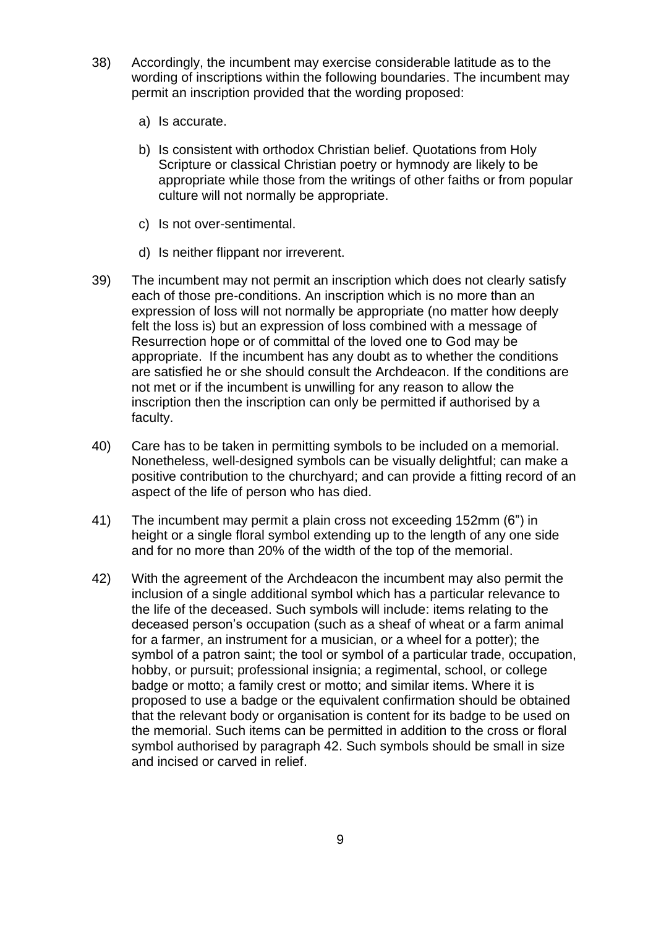- 38) Accordingly, the incumbent may exercise considerable latitude as to the wording of inscriptions within the following boundaries. The incumbent may permit an inscription provided that the wording proposed:
	- a) Is accurate.
	- b) Is consistent with orthodox Christian belief. Quotations from Holy Scripture or classical Christian poetry or hymnody are likely to be appropriate while those from the writings of other faiths or from popular culture will not normally be appropriate.
	- c) Is not over-sentimental.
	- d) Is neither flippant nor irreverent.
- 39) The incumbent may not permit an inscription which does not clearly satisfy each of those pre-conditions. An inscription which is no more than an expression of loss will not normally be appropriate (no matter how deeply felt the loss is) but an expression of loss combined with a message of Resurrection hope or of committal of the loved one to God may be appropriate. If the incumbent has any doubt as to whether the conditions are satisfied he or she should consult the Archdeacon. If the conditions are not met or if the incumbent is unwilling for any reason to allow the inscription then the inscription can only be permitted if authorised by a faculty.
- 40) Care has to be taken in permitting symbols to be included on a memorial. Nonetheless, well-designed symbols can be visually delightful; can make a positive contribution to the churchyard; and can provide a fitting record of an aspect of the life of person who has died.
- 41) The incumbent may permit a plain cross not exceeding 152mm (6") in height or a single floral symbol extending up to the length of any one side and for no more than 20% of the width of the top of the memorial.
- 42) With the agreement of the Archdeacon the incumbent may also permit the inclusion of a single additional symbol which has a particular relevance to the life of the deceased. Such symbols will include: items relating to the deceased person's occupation (such as a sheaf of wheat or a farm animal for a farmer, an instrument for a musician, or a wheel for a potter); the symbol of a patron saint; the tool or symbol of a particular trade, occupation, hobby, or pursuit; professional insignia; a regimental, school, or college badge or motto; a family crest or motto; and similar items. Where it is proposed to use a badge or the equivalent confirmation should be obtained that the relevant body or organisation is content for its badge to be used on the memorial. Such items can be permitted in addition to the cross or floral symbol authorised by paragraph 42. Such symbols should be small in size and incised or carved in relief.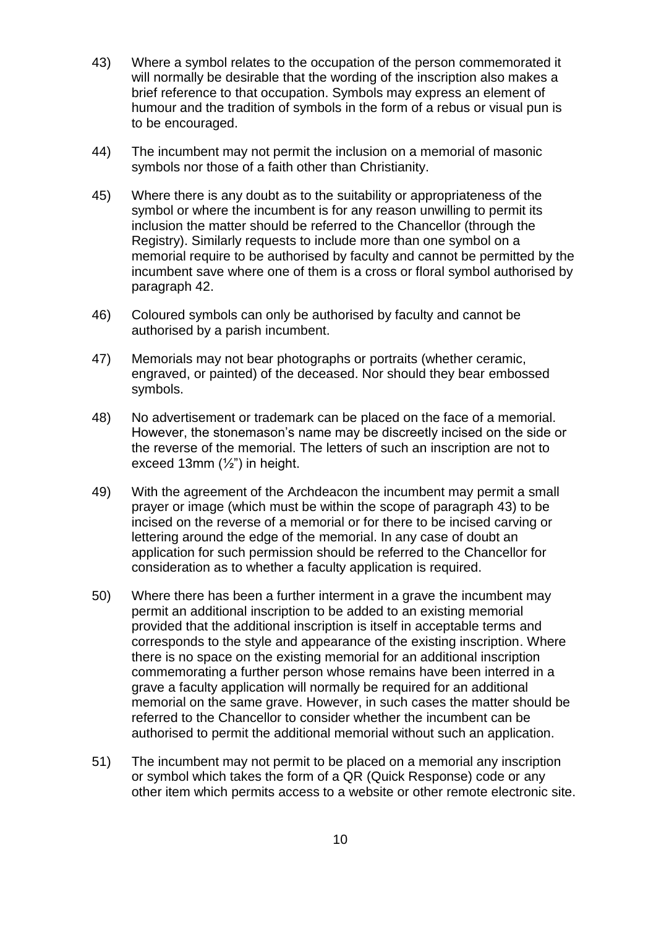- 43) Where a symbol relates to the occupation of the person commemorated it will normally be desirable that the wording of the inscription also makes a brief reference to that occupation. Symbols may express an element of humour and the tradition of symbols in the form of a rebus or visual pun is to be encouraged.
- 44) The incumbent may not permit the inclusion on a memorial of masonic symbols nor those of a faith other than Christianity.
- 45) Where there is any doubt as to the suitability or appropriateness of the symbol or where the incumbent is for any reason unwilling to permit its inclusion the matter should be referred to the Chancellor (through the Registry). Similarly requests to include more than one symbol on a memorial require to be authorised by faculty and cannot be permitted by the incumbent save where one of them is a cross or floral symbol authorised by paragraph 42.
- 46) Coloured symbols can only be authorised by faculty and cannot be authorised by a parish incumbent.
- 47) Memorials may not bear photographs or portraits (whether ceramic, engraved, or painted) of the deceased. Nor should they bear embossed symbols.
- 48) No advertisement or trademark can be placed on the face of a memorial. However, the stonemason's name may be discreetly incised on the side or the reverse of the memorial. The letters of such an inscription are not to exceed 13mm (½") in height.
- 49) With the agreement of the Archdeacon the incumbent may permit a small prayer or image (which must be within the scope of paragraph 43) to be incised on the reverse of a memorial or for there to be incised carving or lettering around the edge of the memorial. In any case of doubt an application for such permission should be referred to the Chancellor for consideration as to whether a faculty application is required.
- 50) Where there has been a further interment in a grave the incumbent may permit an additional inscription to be added to an existing memorial provided that the additional inscription is itself in acceptable terms and corresponds to the style and appearance of the existing inscription. Where there is no space on the existing memorial for an additional inscription commemorating a further person whose remains have been interred in a grave a faculty application will normally be required for an additional memorial on the same grave. However, in such cases the matter should be referred to the Chancellor to consider whether the incumbent can be authorised to permit the additional memorial without such an application.
- 51) The incumbent may not permit to be placed on a memorial any inscription or symbol which takes the form of a QR (Quick Response) code or any other item which permits access to a website or other remote electronic site.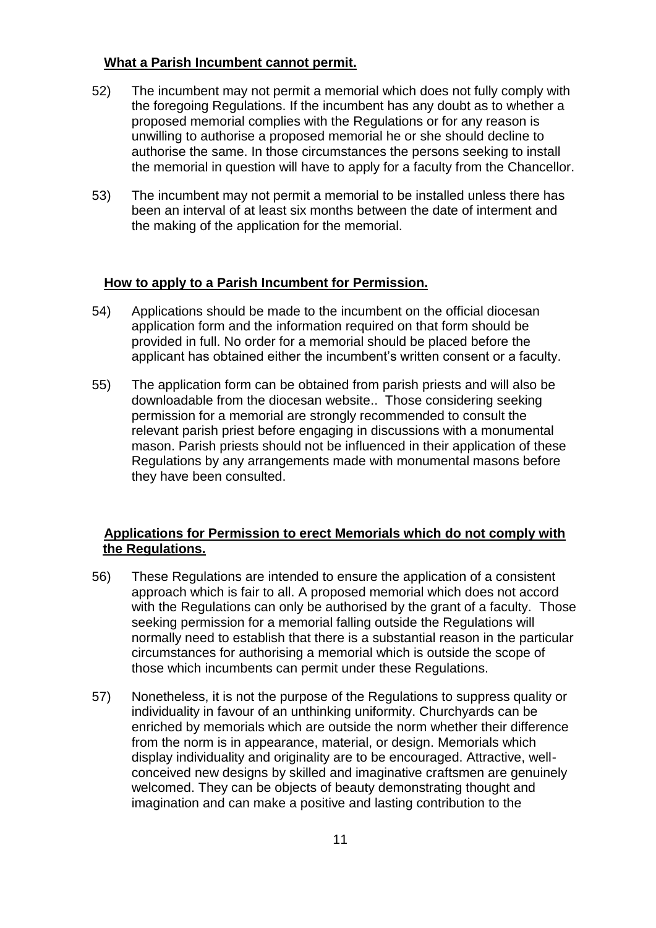### **What a Parish Incumbent cannot permit.**

- 52) The incumbent may not permit a memorial which does not fully comply with the foregoing Regulations. If the incumbent has any doubt as to whether a proposed memorial complies with the Regulations or for any reason is unwilling to authorise a proposed memorial he or she should decline to authorise the same. In those circumstances the persons seeking to install the memorial in question will have to apply for a faculty from the Chancellor.
- 53) The incumbent may not permit a memorial to be installed unless there has been an interval of at least six months between the date of interment and the making of the application for the memorial.

### **How to apply to a Parish Incumbent for Permission.**

- 54) Applications should be made to the incumbent on the official diocesan application form and the information required on that form should be provided in full. No order for a memorial should be placed before the applicant has obtained either the incumbent's written consent or a faculty.
- 55) The application form can be obtained from parish priests and will also be downloadable from the diocesan website.. Those considering seeking permission for a memorial are strongly recommended to consult the relevant parish priest before engaging in discussions with a monumental mason. Parish priests should not be influenced in their application of these Regulations by any arrangements made with monumental masons before they have been consulted.

### **Applications for Permission to erect Memorials which do not comply with the Regulations.**

- 56) These Regulations are intended to ensure the application of a consistent approach which is fair to all. A proposed memorial which does not accord with the Regulations can only be authorised by the grant of a faculty. Those seeking permission for a memorial falling outside the Regulations will normally need to establish that there is a substantial reason in the particular circumstances for authorising a memorial which is outside the scope of those which incumbents can permit under these Regulations.
- 57) Nonetheless, it is not the purpose of the Regulations to suppress quality or individuality in favour of an unthinking uniformity. Churchyards can be enriched by memorials which are outside the norm whether their difference from the norm is in appearance, material, or design. Memorials which display individuality and originality are to be encouraged. Attractive, wellconceived new designs by skilled and imaginative craftsmen are genuinely welcomed. They can be objects of beauty demonstrating thought and imagination and can make a positive and lasting contribution to the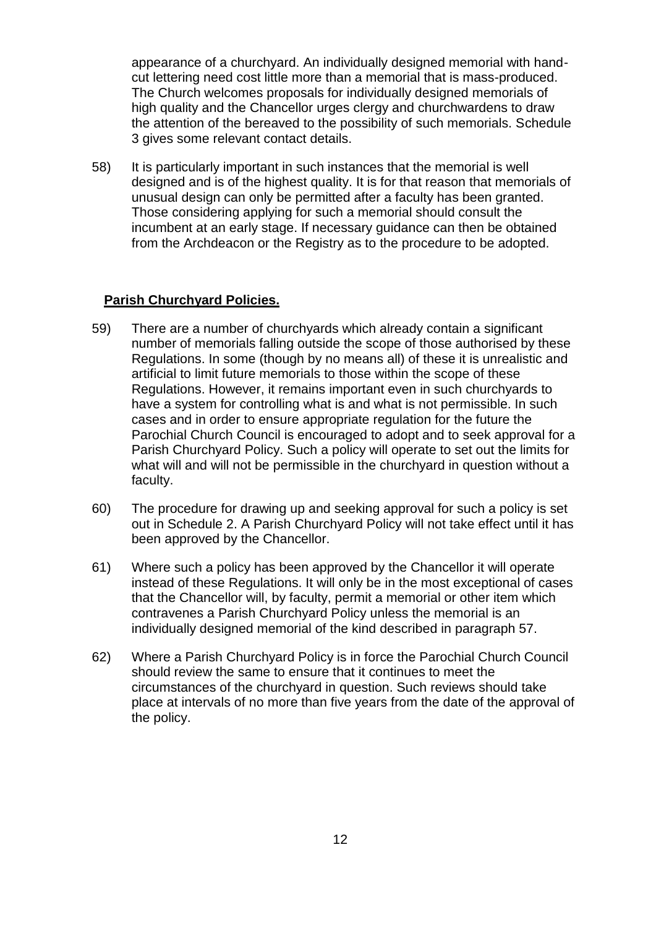appearance of a churchyard. An individually designed memorial with handcut lettering need cost little more than a memorial that is mass-produced. The Church welcomes proposals for individually designed memorials of high quality and the Chancellor urges clergy and churchwardens to draw the attention of the bereaved to the possibility of such memorials. Schedule 3 gives some relevant contact details.

58) It is particularly important in such instances that the memorial is well designed and is of the highest quality. It is for that reason that memorials of unusual design can only be permitted after a faculty has been granted. Those considering applying for such a memorial should consult the incumbent at an early stage. If necessary guidance can then be obtained from the Archdeacon or the Registry as to the procedure to be adopted.

#### **Parish Churchyard Policies.**

- 59) There are a number of churchyards which already contain a significant number of memorials falling outside the scope of those authorised by these Regulations. In some (though by no means all) of these it is unrealistic and artificial to limit future memorials to those within the scope of these Regulations. However, it remains important even in such churchyards to have a system for controlling what is and what is not permissible. In such cases and in order to ensure appropriate regulation for the future the Parochial Church Council is encouraged to adopt and to seek approval for a Parish Churchyard Policy. Such a policy will operate to set out the limits for what will and will not be permissible in the churchyard in question without a faculty.
- 60) The procedure for drawing up and seeking approval for such a policy is set out in Schedule 2. A Parish Churchyard Policy will not take effect until it has been approved by the Chancellor.
- 61) Where such a policy has been approved by the Chancellor it will operate instead of these Regulations. It will only be in the most exceptional of cases that the Chancellor will, by faculty, permit a memorial or other item which contravenes a Parish Churchyard Policy unless the memorial is an individually designed memorial of the kind described in paragraph 57.
- 62) Where a Parish Churchyard Policy is in force the Parochial Church Council should review the same to ensure that it continues to meet the circumstances of the churchyard in question. Such reviews should take place at intervals of no more than five years from the date of the approval of the policy.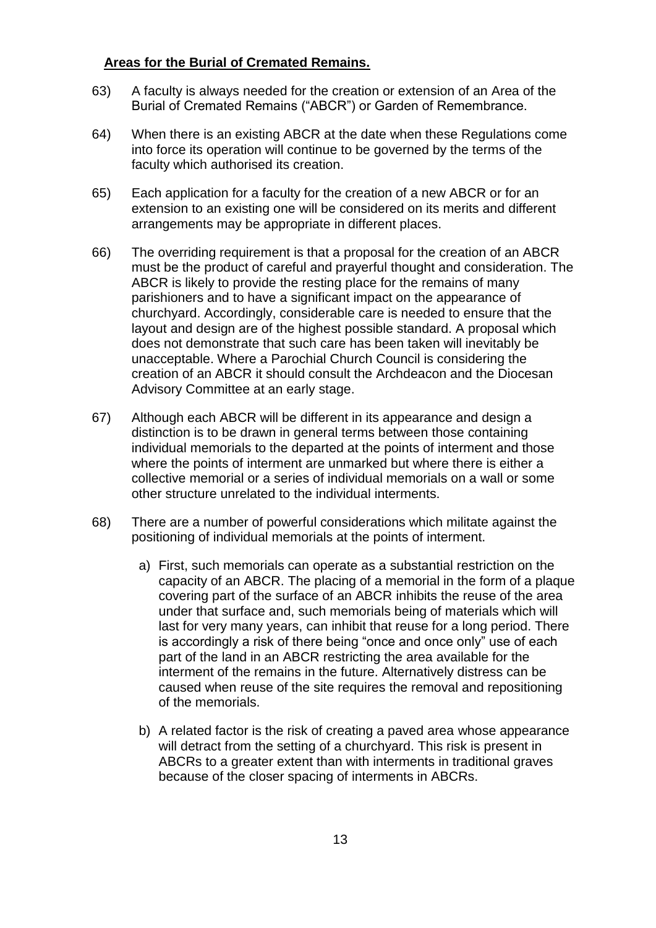### **Areas for the Burial of Cremated Remains.**

- 63) A faculty is always needed for the creation or extension of an Area of the Burial of Cremated Remains ("ABCR") or Garden of Remembrance.
- 64) When there is an existing ABCR at the date when these Regulations come into force its operation will continue to be governed by the terms of the faculty which authorised its creation.
- 65) Each application for a faculty for the creation of a new ABCR or for an extension to an existing one will be considered on its merits and different arrangements may be appropriate in different places.
- 66) The overriding requirement is that a proposal for the creation of an ABCR must be the product of careful and prayerful thought and consideration. The ABCR is likely to provide the resting place for the remains of many parishioners and to have a significant impact on the appearance of churchyard. Accordingly, considerable care is needed to ensure that the layout and design are of the highest possible standard. A proposal which does not demonstrate that such care has been taken will inevitably be unacceptable. Where a Parochial Church Council is considering the creation of an ABCR it should consult the Archdeacon and the Diocesan Advisory Committee at an early stage.
- 67) Although each ABCR will be different in its appearance and design a distinction is to be drawn in general terms between those containing individual memorials to the departed at the points of interment and those where the points of interment are unmarked but where there is either a collective memorial or a series of individual memorials on a wall or some other structure unrelated to the individual interments.
- 68) There are a number of powerful considerations which militate against the positioning of individual memorials at the points of interment.
	- a) First, such memorials can operate as a substantial restriction on the capacity of an ABCR. The placing of a memorial in the form of a plaque covering part of the surface of an ABCR inhibits the reuse of the area under that surface and, such memorials being of materials which will last for very many years, can inhibit that reuse for a long period. There is accordingly a risk of there being "once and once only" use of each part of the land in an ABCR restricting the area available for the interment of the remains in the future. Alternatively distress can be caused when reuse of the site requires the removal and repositioning of the memorials.
	- b) A related factor is the risk of creating a paved area whose appearance will detract from the setting of a churchyard. This risk is present in ABCRs to a greater extent than with interments in traditional graves because of the closer spacing of interments in ABCRs.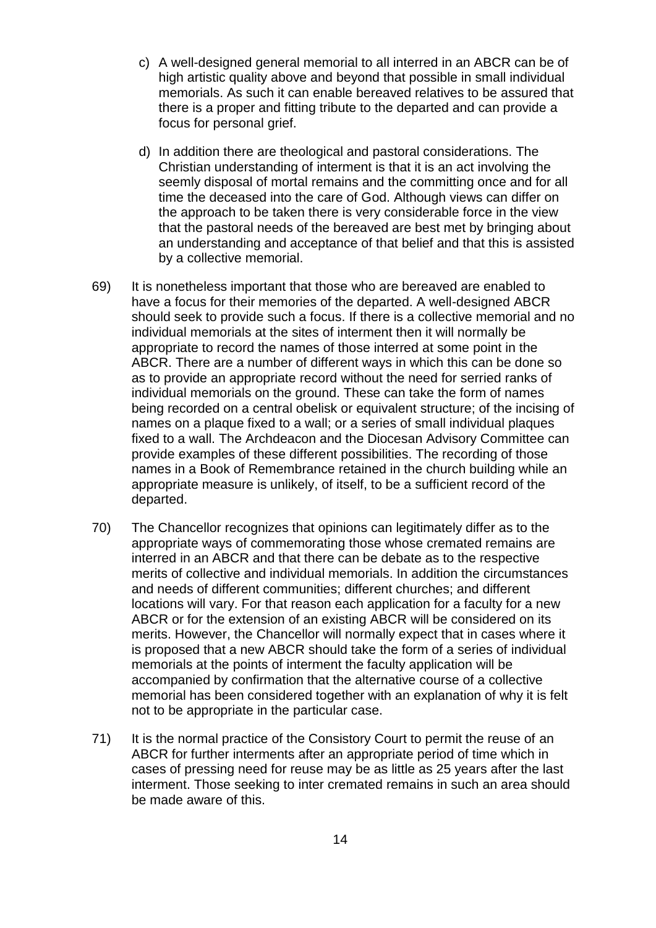- c) A well-designed general memorial to all interred in an ABCR can be of high artistic quality above and beyond that possible in small individual memorials. As such it can enable bereaved relatives to be assured that there is a proper and fitting tribute to the departed and can provide a focus for personal grief.
- d) In addition there are theological and pastoral considerations. The Christian understanding of interment is that it is an act involving the seemly disposal of mortal remains and the committing once and for all time the deceased into the care of God. Although views can differ on the approach to be taken there is very considerable force in the view that the pastoral needs of the bereaved are best met by bringing about an understanding and acceptance of that belief and that this is assisted by a collective memorial.
- 69) It is nonetheless important that those who are bereaved are enabled to have a focus for their memories of the departed. A well-designed ABCR should seek to provide such a focus. If there is a collective memorial and no individual memorials at the sites of interment then it will normally be appropriate to record the names of those interred at some point in the ABCR. There are a number of different ways in which this can be done so as to provide an appropriate record without the need for serried ranks of individual memorials on the ground. These can take the form of names being recorded on a central obelisk or equivalent structure; of the incising of names on a plaque fixed to a wall; or a series of small individual plaques fixed to a wall. The Archdeacon and the Diocesan Advisory Committee can provide examples of these different possibilities. The recording of those names in a Book of Remembrance retained in the church building while an appropriate measure is unlikely, of itself, to be a sufficient record of the departed.
- 70) The Chancellor recognizes that opinions can legitimately differ as to the appropriate ways of commemorating those whose cremated remains are interred in an ABCR and that there can be debate as to the respective merits of collective and individual memorials. In addition the circumstances and needs of different communities; different churches; and different locations will vary. For that reason each application for a faculty for a new ABCR or for the extension of an existing ABCR will be considered on its merits. However, the Chancellor will normally expect that in cases where it is proposed that a new ABCR should take the form of a series of individual memorials at the points of interment the faculty application will be accompanied by confirmation that the alternative course of a collective memorial has been considered together with an explanation of why it is felt not to be appropriate in the particular case.
- 71) It is the normal practice of the Consistory Court to permit the reuse of an ABCR for further interments after an appropriate period of time which in cases of pressing need for reuse may be as little as 25 years after the last interment. Those seeking to inter cremated remains in such an area should be made aware of this.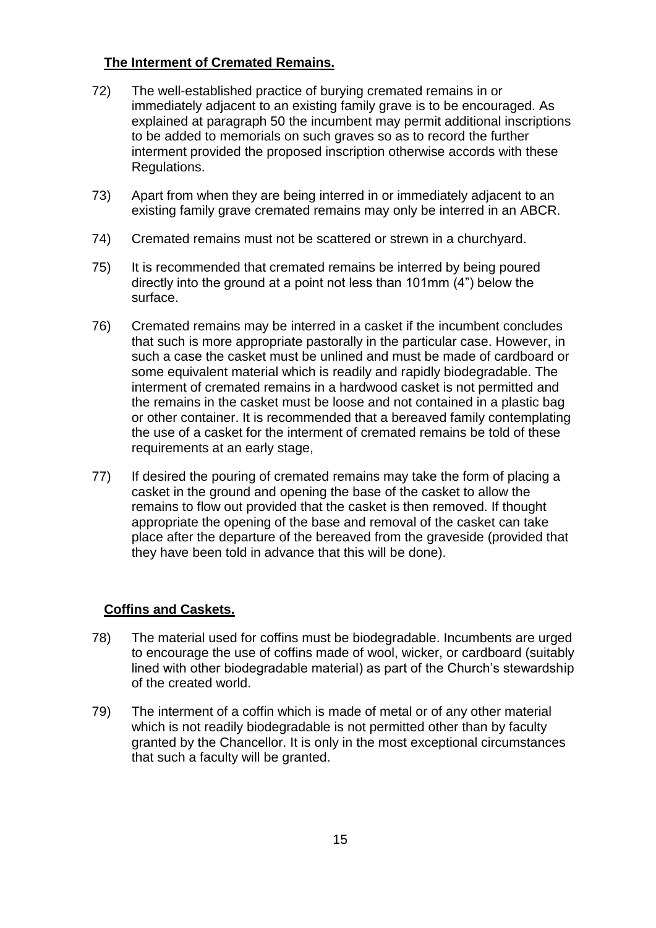# **The Interment of Cremated Remains.**

- 72) The well-established practice of burying cremated remains in or immediately adjacent to an existing family grave is to be encouraged. As explained at paragraph 50 the incumbent may permit additional inscriptions to be added to memorials on such graves so as to record the further interment provided the proposed inscription otherwise accords with these Regulations.
- 73) Apart from when they are being interred in or immediately adjacent to an existing family grave cremated remains may only be interred in an ABCR.
- 74) Cremated remains must not be scattered or strewn in a churchyard.
- 75) It is recommended that cremated remains be interred by being poured directly into the ground at a point not less than 101mm (4") below the surface.
- 76) Cremated remains may be interred in a casket if the incumbent concludes that such is more appropriate pastorally in the particular case. However, in such a case the casket must be unlined and must be made of cardboard or some equivalent material which is readily and rapidly biodegradable. The interment of cremated remains in a hardwood casket is not permitted and the remains in the casket must be loose and not contained in a plastic bag or other container. It is recommended that a bereaved family contemplating the use of a casket for the interment of cremated remains be told of these requirements at an early stage,
- 77) If desired the pouring of cremated remains may take the form of placing a casket in the ground and opening the base of the casket to allow the remains to flow out provided that the casket is then removed. If thought appropriate the opening of the base and removal of the casket can take place after the departure of the bereaved from the graveside (provided that they have been told in advance that this will be done).

# **Coffins and Caskets.**

- 78) The material used for coffins must be biodegradable. Incumbents are urged to encourage the use of coffins made of wool, wicker, or cardboard (suitably lined with other biodegradable material) as part of the Church's stewardship of the created world.
- 79) The interment of a coffin which is made of metal or of any other material which is not readily biodegradable is not permitted other than by faculty granted by the Chancellor. It is only in the most exceptional circumstances that such a faculty will be granted.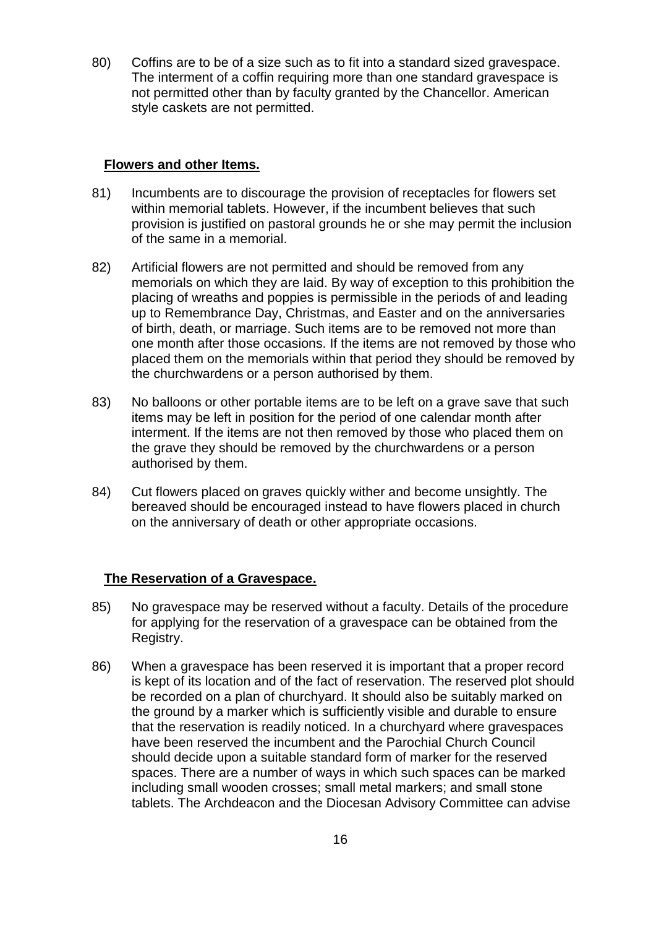80) Coffins are to be of a size such as to fit into a standard sized gravespace. The interment of a coffin requiring more than one standard gravespace is not permitted other than by faculty granted by the Chancellor. American style caskets are not permitted.

### **Flowers and other Items.**

- 81) Incumbents are to discourage the provision of receptacles for flowers set within memorial tablets. However, if the incumbent believes that such provision is justified on pastoral grounds he or she may permit the inclusion of the same in a memorial.
- 82) Artificial flowers are not permitted and should be removed from any memorials on which they are laid. By way of exception to this prohibition the placing of wreaths and poppies is permissible in the periods of and leading up to Remembrance Day, Christmas, and Easter and on the anniversaries of birth, death, or marriage. Such items are to be removed not more than one month after those occasions. If the items are not removed by those who placed them on the memorials within that period they should be removed by the churchwardens or a person authorised by them.
- 83) No balloons or other portable items are to be left on a grave save that such items may be left in position for the period of one calendar month after interment. If the items are not then removed by those who placed them on the grave they should be removed by the churchwardens or a person authorised by them.
- 84) Cut flowers placed on graves quickly wither and become unsightly. The bereaved should be encouraged instead to have flowers placed in church on the anniversary of death or other appropriate occasions.

### **The Reservation of a Gravespace.**

- 85) No gravespace may be reserved without a faculty. Details of the procedure for applying for the reservation of a gravespace can be obtained from the Registry.
- 86) When a gravespace has been reserved it is important that a proper record is kept of its location and of the fact of reservation. The reserved plot should be recorded on a plan of churchyard. It should also be suitably marked on the ground by a marker which is sufficiently visible and durable to ensure that the reservation is readily noticed. In a churchyard where gravespaces have been reserved the incumbent and the Parochial Church Council should decide upon a suitable standard form of marker for the reserved spaces. There are a number of ways in which such spaces can be marked including small wooden crosses; small metal markers; and small stone tablets. The Archdeacon and the Diocesan Advisory Committee can advise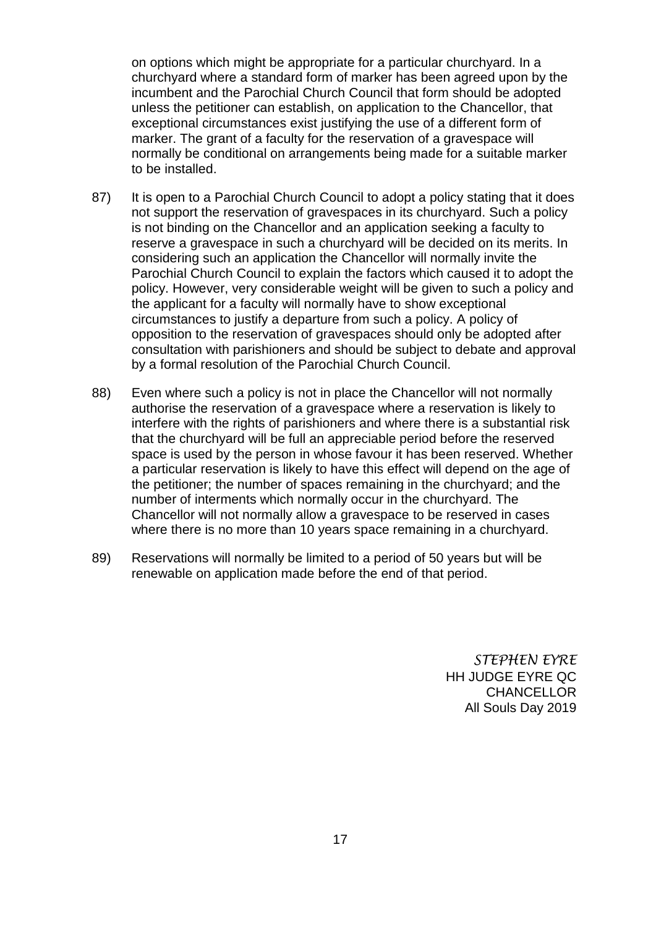on options which might be appropriate for a particular churchyard. In a churchyard where a standard form of marker has been agreed upon by the incumbent and the Parochial Church Council that form should be adopted unless the petitioner can establish, on application to the Chancellor, that exceptional circumstances exist justifying the use of a different form of marker. The grant of a faculty for the reservation of a gravespace will normally be conditional on arrangements being made for a suitable marker to be installed.

- 87) It is open to a Parochial Church Council to adopt a policy stating that it does not support the reservation of gravespaces in its churchyard. Such a policy is not binding on the Chancellor and an application seeking a faculty to reserve a gravespace in such a churchyard will be decided on its merits. In considering such an application the Chancellor will normally invite the Parochial Church Council to explain the factors which caused it to adopt the policy. However, very considerable weight will be given to such a policy and the applicant for a faculty will normally have to show exceptional circumstances to justify a departure from such a policy. A policy of opposition to the reservation of gravespaces should only be adopted after consultation with parishioners and should be subject to debate and approval by a formal resolution of the Parochial Church Council.
- 88) Even where such a policy is not in place the Chancellor will not normally authorise the reservation of a gravespace where a reservation is likely to interfere with the rights of parishioners and where there is a substantial risk that the churchyard will be full an appreciable period before the reserved space is used by the person in whose favour it has been reserved. Whether a particular reservation is likely to have this effect will depend on the age of the petitioner; the number of spaces remaining in the churchyard; and the number of interments which normally occur in the churchyard. The Chancellor will not normally allow a gravespace to be reserved in cases where there is no more than 10 years space remaining in a churchyard.
- 89) Reservations will normally be limited to a period of 50 years but will be renewable on application made before the end of that period.

*STEPHEN EYRE* HH JUDGE EYRE QC **CHANCELLOR** All Souls Day 2019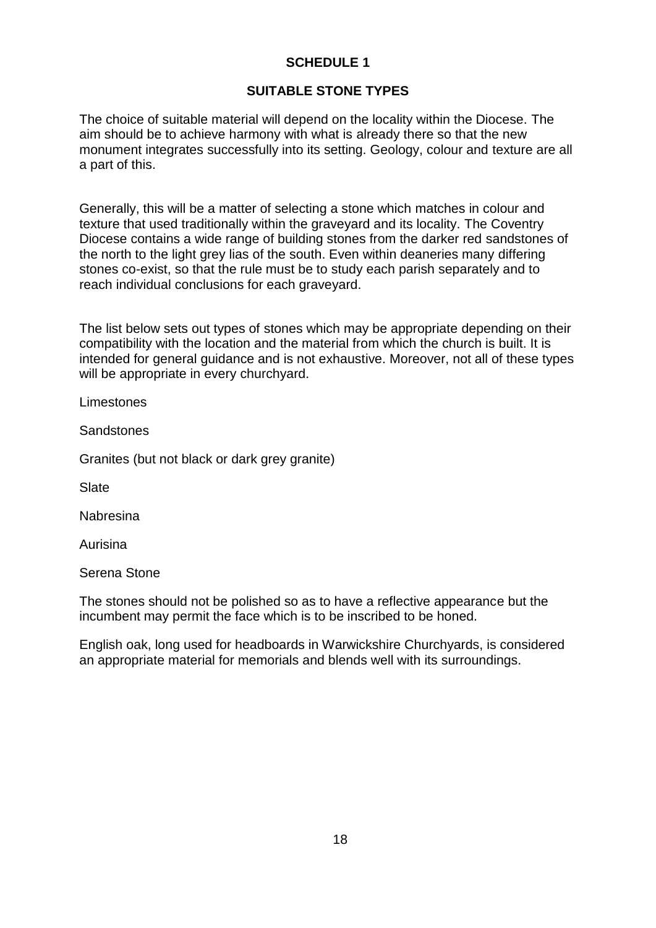# **SCHEDULE 1**

# **SUITABLE STONE TYPES**

The choice of suitable material will depend on the locality within the Diocese. The aim should be to achieve harmony with what is already there so that the new monument integrates successfully into its setting. Geology, colour and texture are all a part of this.

Generally, this will be a matter of selecting a stone which matches in colour and texture that used traditionally within the graveyard and its locality. The Coventry Diocese contains a wide range of building stones from the darker red sandstones of the north to the light grey lias of the south. Even within deaneries many differing stones co-exist, so that the rule must be to study each parish separately and to reach individual conclusions for each graveyard.

The list below sets out types of stones which may be appropriate depending on their compatibility with the location and the material from which the church is built. It is intended for general guidance and is not exhaustive. Moreover, not all of these types will be appropriate in every churchyard.

Limestones

Sandstones

Granites (but not black or dark grey granite)

**Slate** 

Nabresina

Aurisina

Serena Stone

The stones should not be polished so as to have a reflective appearance but the incumbent may permit the face which is to be inscribed to be honed.

English oak, long used for headboards in Warwickshire Churchyards, is considered an appropriate material for memorials and blends well with its surroundings.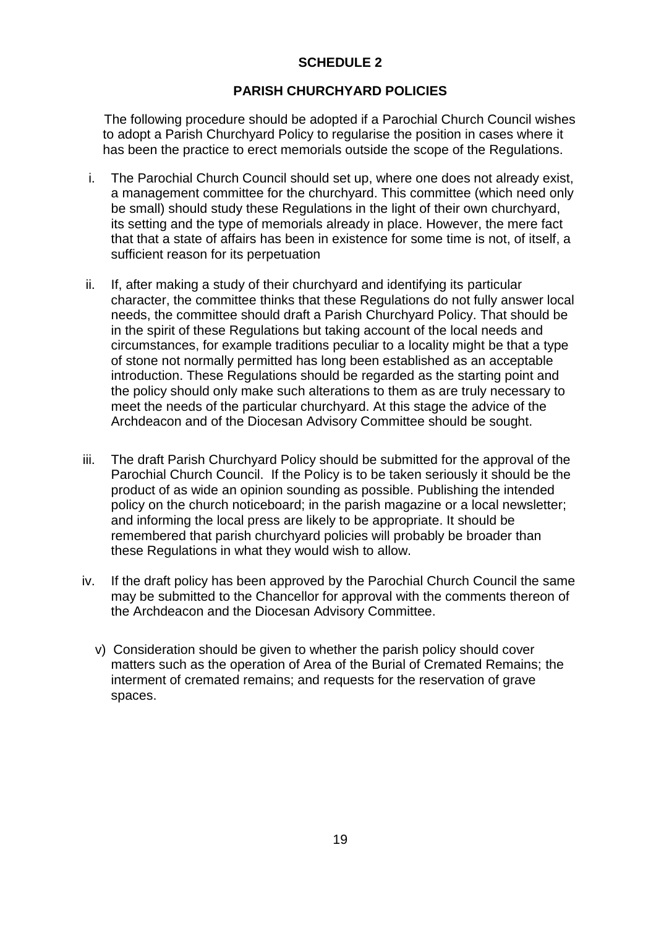# **SCHEDULE 2**

# **PARISH CHURCHYARD POLICIES**

The following procedure should be adopted if a Parochial Church Council wishes to adopt a Parish Churchyard Policy to regularise the position in cases where it has been the practice to erect memorials outside the scope of the Regulations.

- i. The Parochial Church Council should set up, where one does not already exist, a management committee for the churchyard. This committee (which need only be small) should study these Regulations in the light of their own churchyard, its setting and the type of memorials already in place. However, the mere fact that that a state of affairs has been in existence for some time is not, of itself, a sufficient reason for its perpetuation
- ii. If, after making a study of their churchyard and identifying its particular character, the committee thinks that these Regulations do not fully answer local needs, the committee should draft a Parish Churchyard Policy. That should be in the spirit of these Regulations but taking account of the local needs and circumstances, for example traditions peculiar to a locality might be that a type of stone not normally permitted has long been established as an acceptable introduction. These Regulations should be regarded as the starting point and the policy should only make such alterations to them as are truly necessary to meet the needs of the particular churchyard. At this stage the advice of the Archdeacon and of the Diocesan Advisory Committee should be sought.
- iii. The draft Parish Churchyard Policy should be submitted for the approval of the Parochial Church Council. If the Policy is to be taken seriously it should be the product of as wide an opinion sounding as possible. Publishing the intended policy on the church noticeboard; in the parish magazine or a local newsletter; and informing the local press are likely to be appropriate. It should be remembered that parish churchyard policies will probably be broader than these Regulations in what they would wish to allow.
- iv. If the draft policy has been approved by the Parochial Church Council the same may be submitted to the Chancellor for approval with the comments thereon of the Archdeacon and the Diocesan Advisory Committee.
	- v) Consideration should be given to whether the parish policy should cover matters such as the operation of Area of the Burial of Cremated Remains; the interment of cremated remains; and requests for the reservation of grave spaces.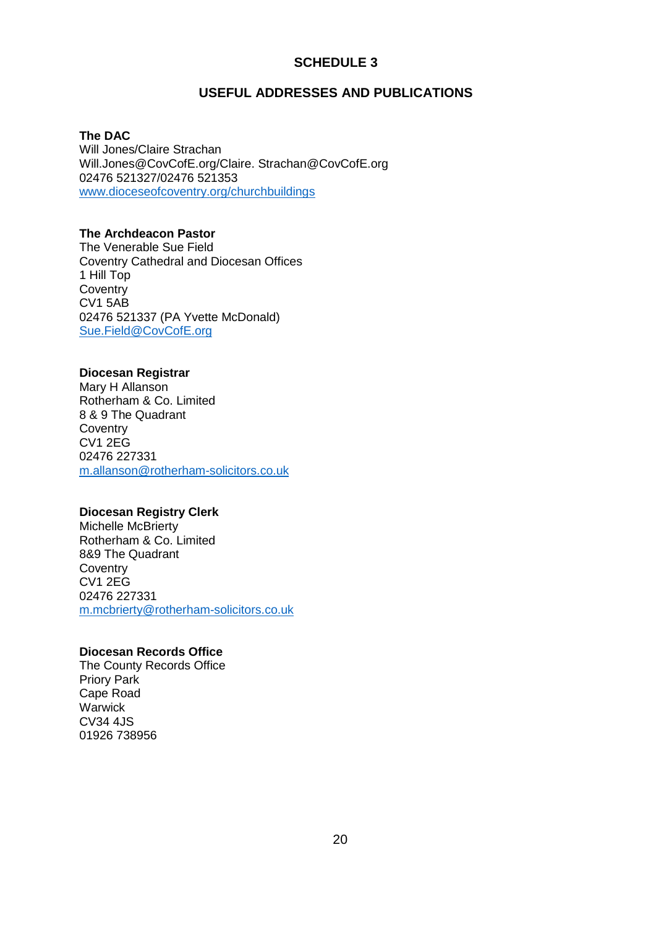### **SCHEDULE 3**

#### **USEFUL ADDRESSES AND PUBLICATIONS**

**The DAC**

Will Jones/Claire Strachan Will.Jones@CovCofE.org/Claire. Strachan@CovCofE.org 02476 521327/02476 521353 [www.dioceseofcoventry.org/churchbuildings](http://www.dioceseofcoventry.org/churchbuildings)

#### **The Archdeacon Pastor**

The Venerable Sue Field Coventry Cathedral and Diocesan Offices 1 Hill Top **Coventry** CV1 5AB 02476 521337 (PA Yvette McDonald) [Sue.Field@CovCofE.org](mailto:Sue.Field@CovCofE.org)

#### **Diocesan Registrar**

Mary H Allanson Rotherham & Co. Limited 8 & 9 The Quadrant **Coventry** CV1 2EG 02476 227331 [m.allanson@rotherham-solicitors.co.uk](mailto:m.allanson@rotherham-solicitors.co.uk)

#### **Diocesan Registry Clerk**

Michelle McBrierty Rotherham & Co. Limited 8&9 The Quadrant **Coventry** CV1 2EG 02476 227331 [m.mcbrierty@rotherham-solicitors.co.uk](mailto:m.mcbrierty@rotherham-solicitors.co.uk)

#### **Diocesan Records Office**

The County Records Office Priory Park Cape Road **Warwick** CV34 4JS 01926 738956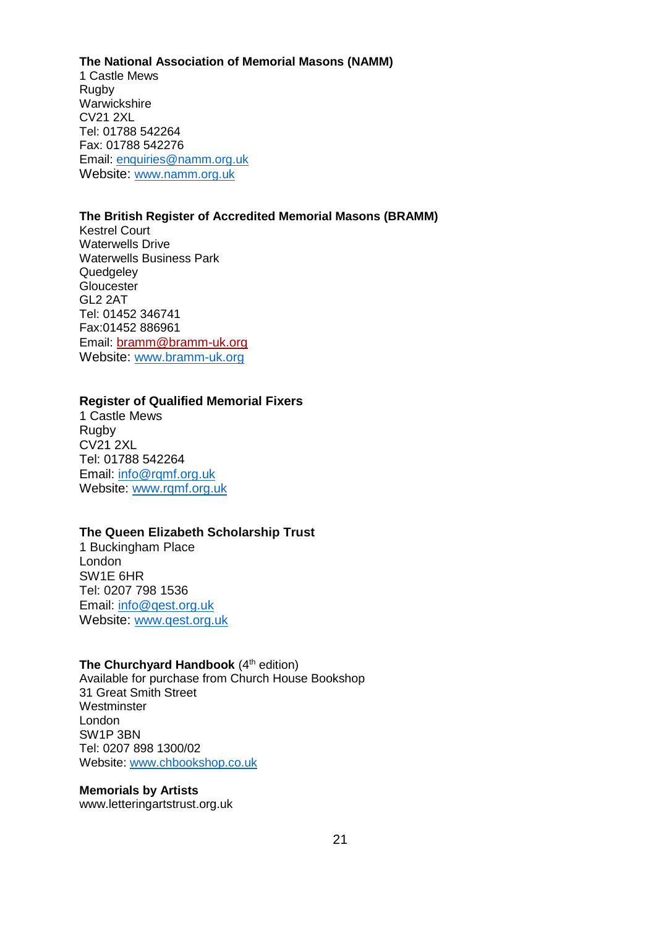#### **The National Association of Memorial Masons (NAMM)** 1 Castle Mews Rugby Warwickshire CV21 2XL Tel: 01788 542264 Fax: 01788 542276 Email: [enquiries@namm.org.uk](mailto:enquiries@namm.org.uk)

#### **The British Register of Accredited Memorial Masons (BRAMM)**

Kestrel Court Waterwells Drive Waterwells Business Park **Quedgeley Gloucester** GL2 2AT Tel: 01452 346741 Fax:01452 886961 Email: [bramm@bramm-uk.org](mailto:bramm@bramm-uk.org) Website: [www.bramm-uk.org](http://www.bramm-uk.org/)

Website: [www.namm.org.uk](http://www.namm.org.uk/)

#### **Register of Qualified Memorial Fixers**

1 Castle Mews **Rugby** CV21 2XL Tel: 01788 542264 Email: [info@rqmf.org.uk](mailto:info@rqmf.org.uk) Website: [www.rqmf.org.uk](http://www.rqmf.org.uk/)

#### **The Queen Elizabeth Scholarship Trust**

1 Buckingham Place London SW1E 6HR Tel: 0207 798 1536 Email: [info@qest.org.uk](mailto:info@qest.org.uk) Website: [www.qest.org.uk](http://www.qest.org.uk/)

#### **The Churchyard Handbook** (4<sup>th</sup> edition)

Available for purchase from Church House Bookshop 31 Great Smith Street **Westminster** London SW1P 3BN Tel: 0207 898 1300/02 Website: [www.chbookshop.co.uk](http://www.chbookshop.co.uk/)

**Memorials by Artists**  www.letteringartstrust.org.uk